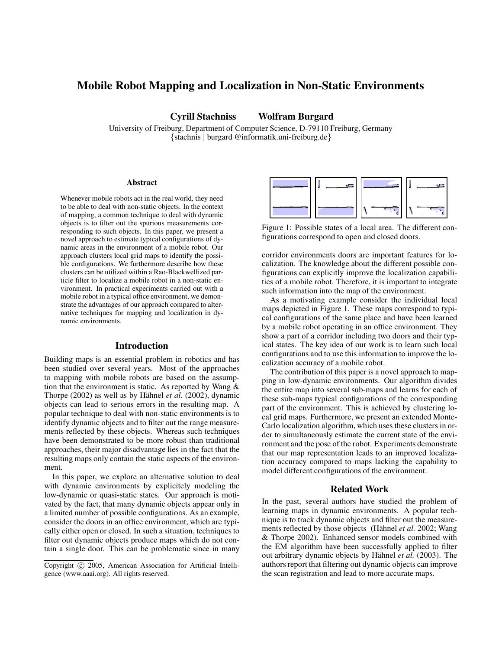# **Mobile Robot Mapping and Localization in Non-Static Environments**

**Cyrill Stachniss Wolfram Burgard**

University of Freiburg, Department of Computer Science, D-79110 Freiburg, Germany

{stachnis | burgard @informatik.uni-freiburg.de}

#### **Abstract**

Whenever mobile robots act in the real world, they need to be able to deal with non-static objects. In the context of mapping, a common technique to deal with dynamic objects is to filter out the spurious measurements corresponding to such objects. In this paper, we present a novel approach to estimate typical configurations of dynamic areas in the environment of a mobile robot. Our approach clusters local grid maps to identify the possible configurations. We furthermore describe how these clusters can be utilized within a Rao-Blackwellized particle filter to localize a mobile robot in a non-static environment. In practical experiments carried out with a mobile robot in a typical office environment, we demonstrate the advantages of our approach compared to alternative techniques for mapping and localization in dynamic environments.

#### **Introduction**

Building maps is an essential problem in robotics and has been studied over several years. Most of the approaches to mapping with mobile robots are based on the assumption that the environment is static. As reported by Wang  $\&$ Thorpe (2002) as well as by Hähnel *et al.* (2002), dynamic objects can lead to serious errors in the resulting map. A popular technique to deal with non-static environments is to identify dynamic objects and to filter out the range measurements reflected by these objects. Whereas such techniques have been demonstrated to be more robust than traditional approaches, their major disadvantage lies in the fact that the resulting maps only contain the static aspects of the environment.

In this paper, we explore an alternative solution to deal with dynamic environments by explicitely modeling the low-dynamic or quasi-static states. Our approach is motivated by the fact, that many dynamic objects appear only in a limited number of possible configurations. As an example, consider the doors in an office environment, which are typically either open or closed. In such a situation, techniques to filter out dynamic objects produce maps which do not contain a single door. This can be problematic since in many



Figure 1: Possible states of a local area. The different configurations correspond to open and closed doors.

corridor environments doors are important features for localization. The knowledge about the different possible configurations can explicitly improve the localization capabilities of a mobile robot. Therefore, it is important to integrate such information into the map of the environment.

As a motivating example consider the individual local maps depicted in Figure 1. These maps correspond to typical configurations of the same place and have been learned by a mobile robot operating in an office environment. They show a part of a corridor including two doors and their typical states. The key idea of our work is to learn such local configurations and to use this information to improve the localization accuracy of a mobile robot.

The contribution of this paper is a novel approach to mapping in low-dynamic environments. Our algorithm divides the entire map into several sub-maps and learns for each of these sub-maps typical configurations of the corresponding part of the environment. This is achieved by clustering local grid maps. Furthermore, we present an extended Monte-Carlo localization algorithm, which uses these clusters in order to simultaneously estimate the current state of the environment and the pose of the robot. Experiments demonstrate that our map representation leads to an improved localization accuracy compared to maps lacking the capability to model different configurations of the environment.

## **Related Work**

In the past, several authors have studied the problem of learning maps in dynamic environments. A popular technique is to track dynamic objects and filter out the measurements reflected by those objects (Hähnel et al. 2002; Wang & Thorpe 2002). Enhanced sensor models combined with the EM algorithm have been successfully applied to filter out arbitrary dynamic objects by Hähnel et al. (2003). The authors report that filtering out dynamic objects can improve the scan registration and lead to more accurate maps.

Copyright © 2005, American Association for Artificial Intelligence (www.aaai.org). All rights reserved.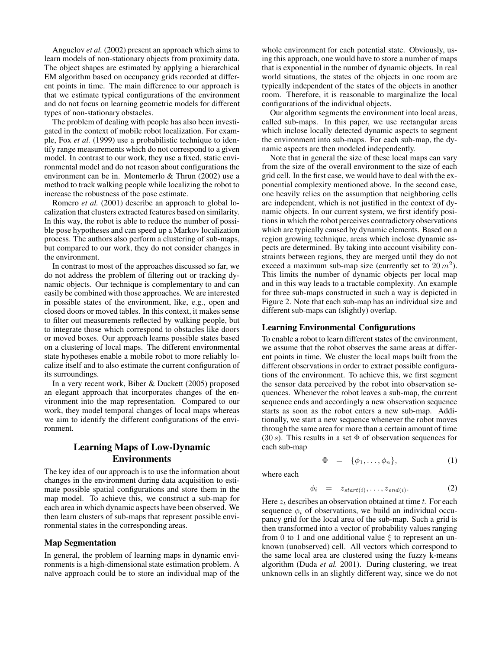Anguelov *et al.* (2002) present an approach which aims to learn models of non-stationary objects from proximity data. The object shapes are estimated by applying a hierarchical EM algorithm based on occupancy grids recorded at different points in time. The main difference to our approach is that we estimate typical configurations of the environment and do not focus on learning geometric models for different types of non-stationary obstacles.

The problem of dealing with people has also been investigated in the context of mobile robot localization. For example, Fox *et al.* (1999) use a probabilistic technique to identify range measurements which do not correspond to a given model. In contrast to our work, they use a fixed, static environmental model and do not reason about configurations the environment can be in. Montemerlo & Thrun (2002) use a method to track walking people while localizing the robot to increase the robustness of the pose estimate.

Romero *et al.* (2001) describe an approach to global localization that clusters extracted features based on similarity. In this way, the robot is able to reduce the number of possible pose hypotheses and can speed up a Markov localization process. The authors also perform a clustering of sub-maps, but compared to our work, they do not consider changes in the environment.

In contrast to most of the approaches discussed so far, we do not address the problem of filtering out or tracking dynamic objects. Our technique is complementary to and can easily be combined with those approaches. We are interested in possible states of the environment, like, e.g., open and closed doors or moved tables. In this context, it makes sense to filter out measurements reflected by walking people, but to integrate those which correspond to obstacles like doors or moved boxes. Our approach learns possible states based on a clustering of local maps. The different environmental state hypotheses enable a mobile robot to more reliably localize itself and to also estimate the current configuration of its surroundings.

In a very recent work, Biber & Duckett (2005) proposed an elegant approach that incorporates changes of the environment into the map representation. Compared to our work, they model temporal changes of local maps whereas we aim to identify the different configurations of the environment.

## **Learning Maps of Low-Dynamic Environments**

The key idea of our approach is to use the information about changes in the environment during data acquisition to estimate possible spatial configurations and store them in the map model. To achieve this, we construct a sub-map for each area in which dynamic aspects have been observed. We then learn clusters of sub-maps that represent possible environmental states in the corresponding areas.

#### **Map Segmentation**

In general, the problem of learning maps in dynamic environments is a high-dimensional state estimation problem. A naïve approach could be to store an individual map of the

whole environment for each potential state. Obviously, using this approach, one would have to store a number of maps that is exponential in the number of dynamic objects. In real world situations, the states of the objects in one room are typically independent of the states of the objects in another room. Therefore, it is reasonable to marginalize the local configurations of the individual objects.

Our algorithm segments the environment into local areas, called sub-maps. In this paper, we use rectangular areas which inclose locally detected dynamic aspects to segment the environment into sub-maps. For each sub-map, the dynamic aspects are then modeled independently.

Note that in general the size of these local maps can vary from the size of the overall environment to the size of each grid cell. In the first case, we would have to deal with the exponential complexity mentioned above. In the second case, one heavily relies on the assumption that neighboring cells are independent, which is not justified in the context of dynamic objects. In our current system, we first identify positions in which the robot perceives contradictory observations which are typically caused by dynamic elements. Based on a region growing technique, areas which inclose dynamic aspects are determined. By taking into account visibility constraints between regions, they are merged until they do not exceed a maximum sub-map size (currently set to  $20 \, m^2$ ). This limits the number of dynamic objects per local map and in this way leads to a tractable complexity. An example for three sub-maps constructed in such a way is depicted in Figure 2. Note that each sub-map has an individual size and different sub-maps can (slightly) overlap.

### **Learning Environmental Configurations**

To enable a robot to learn different states of the environment, we assume that the robot observes the same areas at different points in time. We cluster the local maps built from the different observations in order to extract possible configurations of the environment. To achieve this, we first segment the sensor data perceived by the robot into observation sequences. Whenever the robot leaves a sub-map, the current sequence ends and accordingly a new observation sequence starts as soon as the robot enters a new sub-map. Additionally, we start a new sequence whenever the robot moves through the same area for more than a certain amount of time (30 s). This results in a set  $\Phi$  of observation sequences for each sub-map

$$
\Phi = \{\phi_1, \dots, \phi_n\},\tag{1}
$$

where each

$$
\phi_i = z_{start(i)}, \dots, z_{end(i)}.
$$
 (2)

Here  $z_t$  describes an observation obtained at time t. For each sequence  $\phi_i$  of observations, we build an individual occupancy grid for the local area of the sub-map. Such a grid is then transformed into a vector of probability values ranging from 0 to 1 and one additional value  $\xi$  to represent an unknown (unobserved) cell. All vectors which correspond to the same local area are clustered using the fuzzy k-means algorithm (Duda *et al.* 2001). During clustering, we treat unknown cells in an slightly different way, since we do not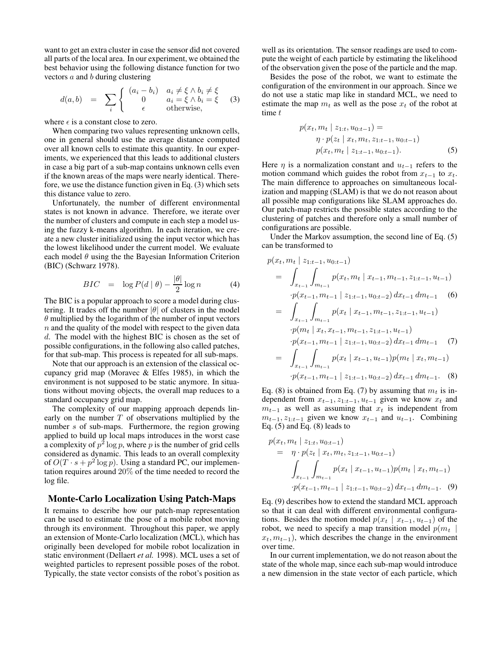want to get an extra cluster in case the sensor did not covered all parts of the local area. In our experiment, we obtained the best behavior using the following distance function for two vectors a and b during clustering

$$
d(a,b) = \sum_{i} \begin{cases} (a_i - b_i) & a_i \neq \xi \wedge b_i \neq \xi \\ 0 & a_i = \xi \wedge b_i = \xi \\ \epsilon & \text{otherwise,} \end{cases}
$$
 (3)

where  $\epsilon$  is a constant close to zero.

When comparing two values representing unknown cells, one in general should use the average distance computed over all known cells to estimate this quantity. In our experiments, we experienced that this leads to additional clusters in case a big part of a sub-map contains unknown cells even if the known areas of the maps were nearly identical. Therefore, we use the distance function given in Eq. (3) which sets this distance value to zero.

Unfortunately, the number of different environmental states is not known in advance. Therefore, we iterate over the number of clusters and compute in each step a model using the fuzzy k-means algorithm. In each iteration, we create a new cluster initialized using the input vector which has the lowest likelihood under the current model. We evaluate each model  $\theta$  using the the Bayesian Information Criterion (BIC) (Schwarz 1978).

$$
BIC = \log P(d | \theta) - \frac{|\theta|}{2} \log n \tag{4}
$$

The BIC is a popular approach to score a model during clustering. It trades off the number  $|\theta|$  of clusters in the model  $\theta$  multiplied by the logarithm of the number of input vectors  $n$  and the quality of the model with respect to the given data d. The model with the highest BIC is chosen as the set of possible configurations, in the following also called patches, for that sub-map. This process is repeated for all sub-maps.

Note that our approach is an extension of the classical occupancy grid map (Moravec & Elfes 1985), in which the environment is not supposed to be static anymore. In situations without moving objects, the overall map reduces to a standard occupancy grid map.

The complexity of our mapping approach depends linearly on the number  $T$  of observations multiplied by the number s of sub-maps. Furthermore, the region growing applied to build up local maps introduces in the worst case a complexity of  $p^2 \log p$ , where p is the number of grid cells considered as dynamic. This leads to an overall complexity of  $O(T \cdot s + p^2 \log p)$ . Using a standard PC, our implementation requires around 20% of the time needed to record the log file.

### **Monte-Carlo Localization Using Patch-Maps**

It remains to describe how our patch-map representation can be used to estimate the pose of a mobile robot moving through its environment. Throughout this paper, we apply an extension of Monte-Carlo localization (MCL), which has originally been developed for mobile robot localization in static environment (Dellaert *et al.* 1998). MCL uses a set of weighted particles to represent possible poses of the robot. Typically, the state vector consists of the robot's position as

well as its orientation. The sensor readings are used to compute the weight of each particle by estimating the likelihood of the observation given the pose of the particle and the map.

Besides the pose of the robot, we want to estimate the configuration of the environment in our approach. Since we do not use a static map like in standard MCL, we need to estimate the map  $m_t$  as well as the pose  $x_t$  of the robot at time t

$$
p(x_t, m_t | z_{1:t}, u_{0:t-1}) =
$$
  
\n
$$
\eta \cdot p(z_t | x_t, m_t, z_{1:t-1}, u_{0:t-1})
$$
  
\n
$$
p(x_t, m_t | z_{1:t-1}, u_{0:t-1}).
$$
\n(5)

Here  $\eta$  is a normalization constant and  $u_{t-1}$  refers to the motion command which guides the robot from  $x_{t-1}$  to  $x_t$ . The main difference to approaches on simultaneous localization and mapping (SLAM) is that we do not reason about all possible map configurations like SLAM approaches do. Our patch-map restricts the possible states according to the clustering of patches and therefore only a small number of configurations are possible.

Under the Markov assumption, the second line of Eq. (5) can be transformed to

$$
p(x_t, m_t | z_{1:t-1}, u_{0:t-1})
$$
  
= 
$$
\int_{x_{t-1}} \int_{m_{t-1}} p(x_t, m_t | x_{t-1}, m_{t-1}, z_{1:t-1}, u_{t-1})
$$
  

$$
\cdot p(x_{t-1}, m_{t-1} | z_{1:t-1}, u_{0:t-2}) dx_{t-1} dm_{t-1}
$$
 (6)  
= 
$$
\int_{x_{t-1}} \int_{m_{t-1}} p(x_t | x_{t-1}, m_{t-1}, z_{1:t-1}, u_{t-1})
$$
  

$$
\cdot p(m_t | x_t, x_{t-1}, m_{t-1}, z_{1:t-1}, u_{t-1})
$$
  

$$
\cdot p(x_{t-1}, m_{t-1} | z_{1:t-1}, u_{0:t-2}) dx_{t-1} dm_{t-1}
$$
 (7)  
= 
$$
\int_{x_{t-1}} \int_{m_{t-1}} p(x_t | x_{t-1}, u_{t-1}) p(m_t | x_t, m_{t-1})
$$
  

$$
\cdot p(x_{t-1}, m_{t-1} | z_{1:t-1}, u_{0:t-2}) dx_{t-1} dm_{t-1}.
$$
 (8)

Eq. (8) is obtained from Eq. (7) by assuming that  $m_t$  is independent from  $x_{t-1}, z_{1:t-1}, u_{t-1}$  given we know  $x_t$  and  $m_{t-1}$  as well as assuming that  $x_t$  is independent from  $m_{t-1}$ ,  $z_{1:t-1}$  given we know  $x_{t-1}$  and  $u_{t-1}$ . Combining Eq.  $(5)$  and Eq.  $(8)$  leads to

$$
p(x_t, m_t | z_{1:t}, u_{0:t-1})
$$
  
=  $\eta \cdot p(z_t | x_t, m_t, z_{1:t-1}, u_{0:t-1})$   

$$
\int_{x_{t-1}} \int_{m_{t-1}} p(x_t | x_{t-1}, u_{t-1}) p(m_t | x_t, m_{t-1})
$$
  
 $\cdot p(x_{t-1}, m_{t-1} | z_{1:t-1}, u_{0:t-2}) dx_{t-1} dm_{t-1}.$  (9)

Eq. (9) describes how to extend the standard MCL approach so that it can deal with different environmental configurations. Besides the motion model  $p(x_t | x_{t-1}, u_{t-1})$  of the robot, we need to specify a map transition model  $p(m_t)$  $x_t, m_{t-1}$ , which describes the change in the environment over time.

In our current implementation, we do not reason about the state of the whole map, since each sub-map would introduce a new dimension in the state vector of each particle, which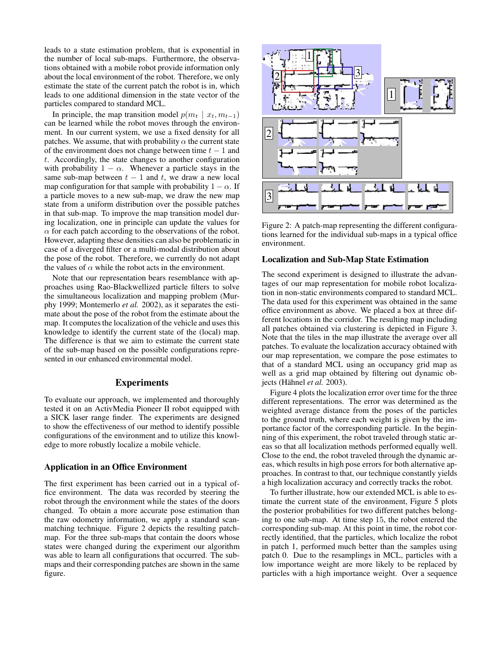leads to a state estimation problem, that is exponential in the number of local sub-maps. Furthermore, the observations obtained with a mobile robot provide information only about the local environment of the robot. Therefore, we only estimate the state of the current patch the robot is in, which leads to one additional dimension in the state vector of the particles compared to standard MCL.

In principle, the map transition model  $p(m_t | x_t, m_{t-1})$ can be learned while the robot moves through the environment. In our current system, we use a fixed density for all patches. We assume, that with probability  $\alpha$  the current state of the environment does not change between time  $t - 1$  and t. Accordingly, the state changes to another configuration with probability  $1 - \alpha$ . Whenever a particle stays in the same sub-map between  $t - 1$  and t, we draw a new local map configuration for that sample with probability  $1 - \alpha$ . If a particle moves to a new sub-map, we draw the new map state from a uniform distribution over the possible patches in that sub-map. To improve the map transition model during localization, one in principle can update the values for  $\alpha$  for each patch according to the observations of the robot. However, adapting these densities can also be problematic in case of a diverged filter or a multi-modal distribution about the pose of the robot. Therefore, we currently do not adapt the values of  $\alpha$  while the robot acts in the environment.

Note that our representation bears resemblance with approaches using Rao-Blackwellized particle filters to solve the simultaneous localization and mapping problem (Murphy 1999; Montemerlo *et al.* 2002), as it separates the estimate about the pose of the robot from the estimate about the map. It computes the localization of the vehicle and uses this knowledge to identify the current state of the (local) map. The difference is that we aim to estimate the current state of the sub-map based on the possible configurations represented in our enhanced environmental model.

## **Experiments**

To evaluate our approach, we implemented and thoroughly tested it on an ActivMedia Pioneer II robot equipped with a SICK laser range finder. The experiments are designed to show the effectiveness of our method to identify possible configurations of the environment and to utilize this knowledge to more robustly localize a mobile vehicle.

#### **Application in an Office Environment**

The first experiment has been carried out in a typical office environment. The data was recorded by steering the robot through the environment while the states of the doors changed. To obtain a more accurate pose estimation than the raw odometry information, we apply a standard scanmatching technique. Figure 2 depicts the resulting patchmap. For the three sub-maps that contain the doors whose states were changed during the experiment our algorithm was able to learn all configurations that occurred. The submaps and their corresponding patches are shown in the same figure.



Figure 2: A patch-map representing the different configurations learned for the individual sub-maps in a typical office environment.

#### **Localization and Sub-Map State Estimation**

The second experiment is designed to illustrate the advantages of our map representation for mobile robot localization in non-static environments compared to standard MCL. The data used for this experiment was obtained in the same office environment as above. We placed a box at three different locations in the corridor. The resulting map including all patches obtained via clustering is depicted in Figure 3. Note that the tiles in the map illustrate the average over all patches. To evaluate the localization accuracy obtained with our map representation, we compare the pose estimates to that of a standard MCL using an occupancy grid map as well as a grid map obtained by filtering out dynamic objects (Hähnel et al. 2003).

Figure 4 plots the localization error over time for the three different representations. The error was determined as the weighted average distance from the poses of the particles to the ground truth, where each weight is given by the importance factor of the corresponding particle. In the beginning of this experiment, the robot traveled through static areas so that all localization methods performed equally well. Close to the end, the robot traveled through the dynamic areas, which results in high pose errors for both alternative approaches. In contrast to that, our technique constantly yields a high localization accuracy and correctly tracks the robot.

To further illustrate, how our extended MCL is able to estimate the current state of the environment, Figure 5 plots the posterior probabilities for two different patches belonging to one sub-map. At time step 15, the robot entered the corresponding sub-map. At this point in time, the robot correctly identified, that the particles, which localize the robot in patch 1, performed much better than the samples using patch 0. Due to the resamplings in MCL, particles with a low importance weight are more likely to be replaced by particles with a high importance weight. Over a sequence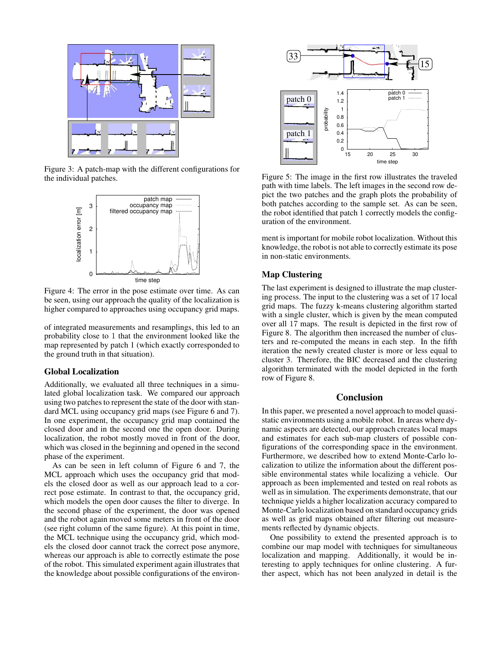

Figure 3: A patch-map with the different configurations for the individual patches.



Figure 4: The error in the pose estimate over time. As can be seen, using our approach the quality of the localization is higher compared to approaches using occupancy grid maps.

of integrated measurements and resamplings, this led to an probability close to 1 that the environment looked like the map represented by patch 1 (which exactly corresponded to the ground truth in that situation).

#### **Global Localization**

Additionally, we evaluated all three techniques in a simulated global localization task. We compared our approach using two patches to represent the state of the door with standard MCL using occupancy grid maps (see Figure 6 and 7). In one experiment, the occupancy grid map contained the closed door and in the second one the open door. During localization, the robot mostly moved in front of the door, which was closed in the beginning and opened in the second phase of the experiment.

As can be seen in left column of Figure 6 and 7, the MCL approach which uses the occupancy grid that models the closed door as well as our approach lead to a correct pose estimate. In contrast to that, the occupancy grid, which models the open door causes the filter to diverge. In the second phase of the experiment, the door was opened and the robot again moved some meters in front of the door (see right column of the same figure). At this point in time, the MCL technique using the occupancy grid, which models the closed door cannot track the correct pose anymore, whereas our approach is able to correctly estimate the pose of the robot. This simulated experiment again illustrates that the knowledge about possible configurations of the environ-



Figure 5: The image in the first row illustrates the traveled path with time labels. The left images in the second row depict the two patches and the graph plots the probability of both patches according to the sample set. As can be seen, the robot identified that patch 1 correctly models the configuration of the environment.

ment is important for mobile robot localization. Without this knowledge, the robot is not able to correctly estimate its pose in non-static environments.

## **Map Clustering**

The last experiment is designed to illustrate the map clustering process. The input to the clustering was a set of 17 local grid maps. The fuzzy k-means clustering algorithm started with a single cluster, which is given by the mean computed over all 17 maps. The result is depicted in the first row of Figure 8. The algorithm then increased the number of clusters and re-computed the means in each step. In the fifth iteration the newly created cluster is more or less equal to cluster 3. Therefore, the BIC decreased and the clustering algorithm terminated with the model depicted in the forth row of Figure 8.

## **Conclusion**

In this paper, we presented a novel approach to model quasistatic environments using a mobile robot. In areas where dynamic aspects are detected, our approach creates local maps and estimates for each sub-map clusters of possible configurations of the corresponding space in the environment. Furthermore, we described how to extend Monte-Carlo localization to utilize the information about the different possible environmental states while localizing a vehicle. Our approach as been implemented and tested on real robots as well as in simulation. The experiments demonstrate, that our technique yields a higher localization accuracy compared to Monte-Carlo localization based on standard occupancy grids as well as grid maps obtained after filtering out measurements reflected by dynamic objects.

One possibility to extend the presented approach is to combine our map model with techniques for simultaneous localization and mapping. Additionally, it would be interesting to apply techniques for online clustering. A further aspect, which has not been analyzed in detail is the